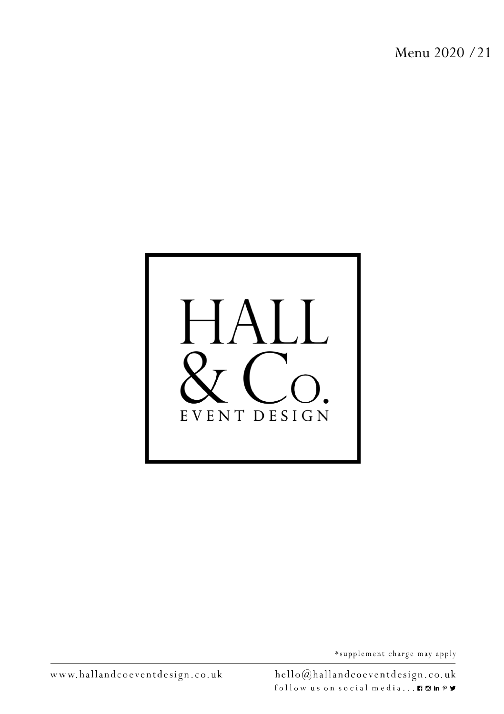Menu 2020 /21

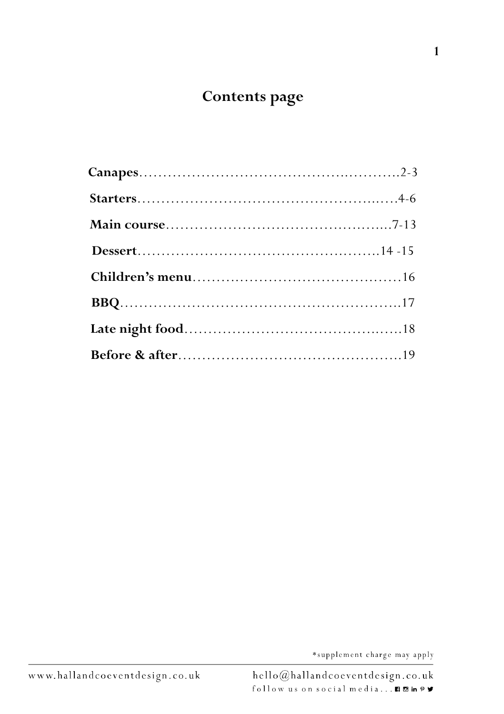# **Contents page**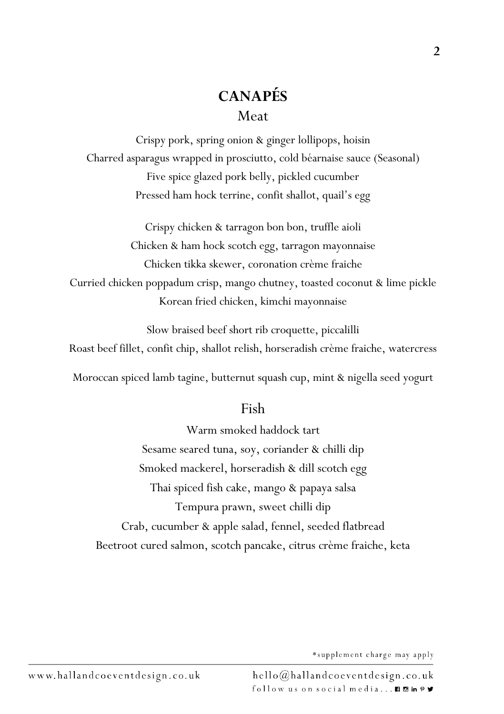# **CANAPÉS** Meat

Crispy pork, spring onion & ginger lollipops, hoisin Charred asparagus wrapped in prosciutto, cold béarnaise sauce (Seasonal) Five spice glazed pork belly, pickled cucumber Pressed ham hock terrine, confit shallot, quail's egg

Crispy chicken & tarragon bon bon, truffle aioli Chicken & ham hock scotch egg, tarragon mayonnaise Chicken tikka skewer, coronation crème fraiche Curried chicken poppadum crisp, mango chutney, toasted coconut & lime pickle Korean fried chicken, kimchi mayonnaise

Slow braised beef short rib croquette, piccalilli Roast beef fillet, confit chip, shallot relish, horseradish crème fraiche, watercress

Moroccan spiced lamb tagine, butternut squash cup, mint & nigella seed yogurt

#### Fish

Warm smoked haddock tart Sesame seared tuna, soy, coriander & chilli dip Smoked mackerel, horseradish & dill scotch egg Thai spiced fish cake, mango & papaya salsa Tempura prawn, sweet chilli dip Crab, cucumber & apple salad, fennel, seeded flatbread Beetroot cured salmon, scotch pancake, citrus crème fraiche, keta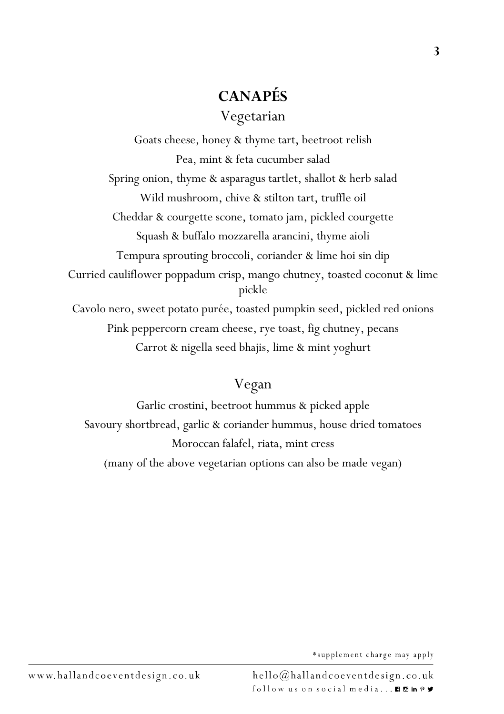# **CANAPÉS** Vegetarian

Goats cheese, honey & thyme tart, beetroot relish Pea, mint & feta cucumber salad Spring onion, thyme & asparagus tartlet, shallot & herb salad Wild mushroom, chive & stilton tart, truffle oil Cheddar & courgette scone, tomato jam, pickled courgette Squash & buffalo mozzarella arancini, thyme aioli Tempura sprouting broccoli, coriander & lime hoi sin dip Curried cauliflower poppadum crisp, mango chutney, toasted coconut & lime pickle Cavolo nero, sweet potato purée, toasted pumpkin seed, pickled red onions Pink peppercorn cream cheese, rye toast, fig chutney, pecans Carrot & nigella seed bhajis, lime & mint yoghurt

# Vegan

Garlic crostini, beetroot hummus & picked apple Savoury shortbread, garlic & coriander hummus, house dried tomatoes Moroccan falafel, riata, mint cress (many of the above vegetarian options can also be made vegan)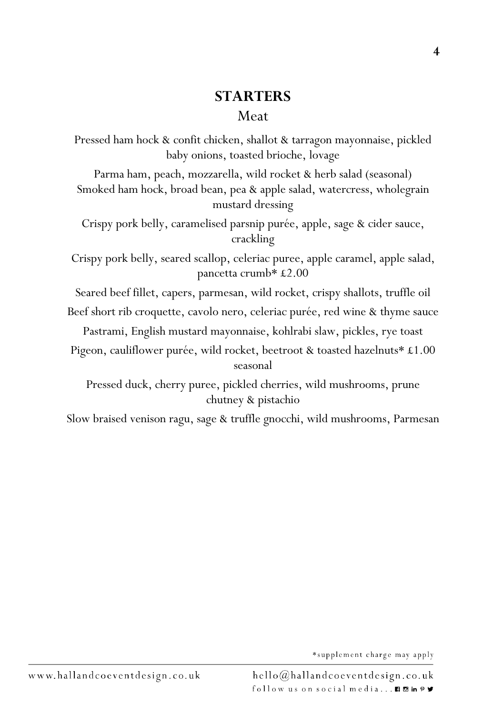#### **STARTERS** Meat

Pressed ham hock & confit chicken, shallot & tarragon mayonnaise, pickled baby onions, toasted brioche, lovage

Parma ham, peach, mozzarella, wild rocket & herb salad (seasonal) Smoked ham hock, broad bean, pea & apple salad, watercress, wholegrain mustard dressing

Crispy pork belly, caramelised parsnip purée, apple, sage & cider sauce, crackling

Crispy pork belly, seared scallop, celeriac puree, apple caramel, apple salad, pancetta crumb\* £2.00

Seared beef fillet, capers, parmesan, wild rocket, crispy shallots, truffle oil

Beef short rib croquette, cavolo nero, celeriac purée, red wine & thyme sauce

Pastrami, English mustard mayonnaise, kohlrabi slaw, pickles, rye toast

Pigeon, cauliflower purée, wild rocket, beetroot & toasted hazelnuts\* £1.00 seasonal

Pressed duck, cherry puree, pickled cherries, wild mushrooms, prune chutney & pistachio

Slow braised venison ragu, sage & truffle gnocchi, wild mushrooms, Parmesan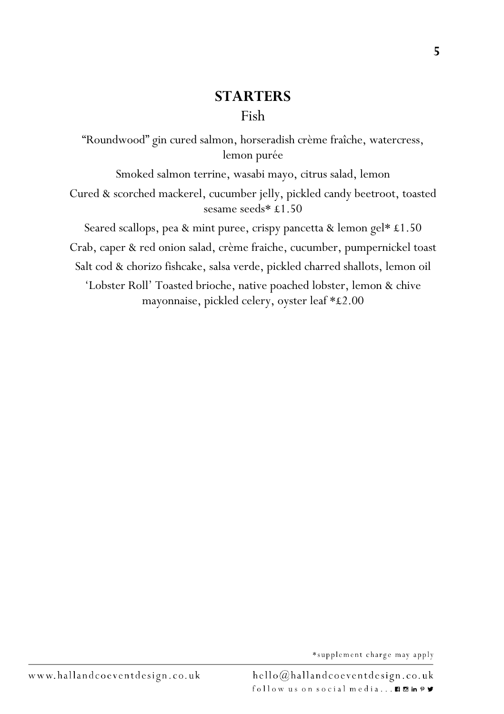### **STARTERS** Fish

"Roundwood" gin cured salmon, horseradish crème fraîche, watercress, lemon purée

Smoked salmon terrine, wasabi mayo, citrus salad, lemon Cured & scorched mackerel, cucumber jelly, pickled candy beetroot, toasted sesame seeds\* £1.50

Seared scallops, pea & mint puree, crispy pancetta & lemon gel\* £1.50 Crab, caper & red onion salad, crème fraiche, cucumber, pumpernickel toast Salt cod & chorizo fishcake, salsa verde, pickled charred shallots, lemon oil

'Lobster Roll' Toasted brioche, native poached lobster, lemon & chive mayonnaise, pickled celery, oyster leaf \*£2.00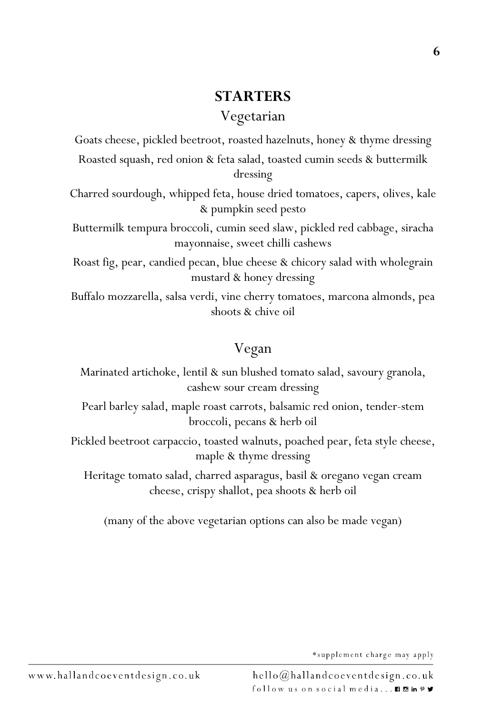# **STARTERS**

Vegetarian

Goats cheese, pickled beetroot, roasted hazelnuts, honey & thyme dressing Roasted squash, red onion & feta salad, toasted cumin seeds & buttermilk dressing

Charred sourdough, whipped feta, house dried tomatoes, capers, olives, kale & pumpkin seed pesto

Buttermilk tempura broccoli, cumin seed slaw, pickled red cabbage, siracha mayonnaise, sweet chilli cashews

Roast fig, pear, candied pecan, blue cheese & chicory salad with wholegrain mustard & honey dressing

Buffalo mozzarella, salsa verdi, vine cherry tomatoes, marcona almonds, pea shoots & chive oil

# Vegan

Marinated artichoke, lentil & sun blushed tomato salad, savoury granola, cashew sour cream dressing

Pearl barley salad, maple roast carrots, balsamic red onion, tender-stem broccoli, pecans & herb oil

Pickled beetroot carpaccio, toasted walnuts, poached pear, feta style cheese, maple & thyme dressing

Heritage tomato salad, charred asparagus, basil & oregano vegan cream cheese, crispy shallot, pea shoots & herb oil

(many of the above vegetarian options can also be made vegan)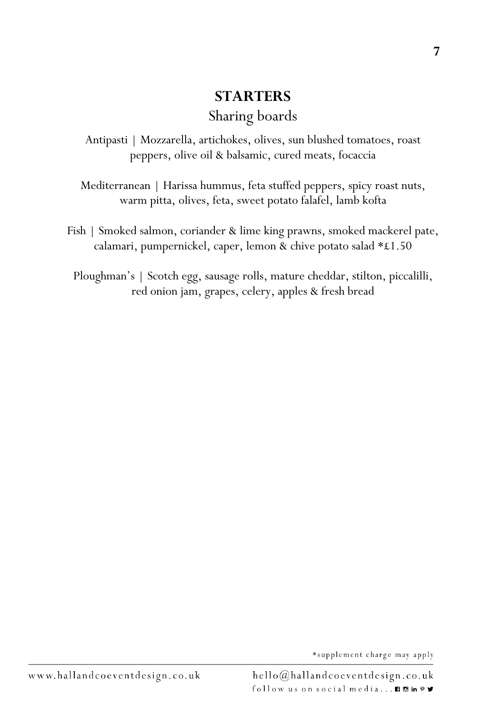# **STARTERS** Sharing boards

Antipasti | Mozzarella, artichokes, olives, sun blushed tomatoes, roast peppers, olive oil & balsamic, cured meats, focaccia

Mediterranean | Harissa hummus, feta stuffed peppers, spicy roast nuts, warm pitta, olives, feta, sweet potato falafel, lamb kofta

Fish | Smoked salmon, coriander & lime king prawns, smoked mackerel pate, calamari, pumpernickel, caper, lemon & chive potato salad \*£1.50

Ploughman's | Scotch egg, sausage rolls, mature cheddar, stilton, piccalilli, red onion jam, grapes, celery, apples & fresh bread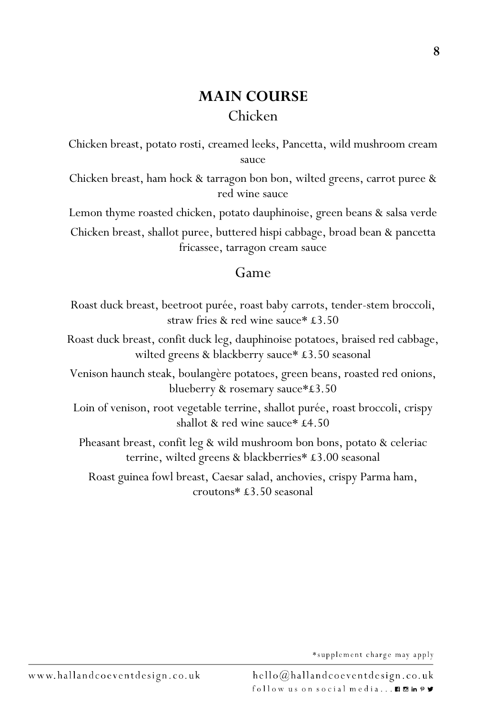## **MAIN COURSE** Chicken

Chicken breast, potato rosti, creamed leeks, Pancetta, wild mushroom cream sauce

Chicken breast, ham hock & tarragon bon bon, wilted greens, carrot puree & red wine sauce

Lemon thyme roasted chicken, potato dauphinoise, green beans & salsa verde Chicken breast, shallot puree, buttered hispi cabbage, broad bean & pancetta fricassee, tarragon cream sauce

#### Game

Roast duck breast, beetroot purée, roast baby carrots, tender-stem broccoli, straw fries & red wine sauce\* £3.50

Roast duck breast, confit duck leg, dauphinoise potatoes, braised red cabbage, wilted greens & blackberry sauce\* £3.50 seasonal

Venison haunch steak, boulangère potatoes, green beans, roasted red onions, blueberry & rosemary sauce\*£3.50

Loin of venison, root vegetable terrine, shallot purée, roast broccoli, crispy shallot & red wine sauce\* £4.50

Pheasant breast, confit leg & wild mushroom bon bons, potato & celeriac terrine, wilted greens & blackberries\* £3.00 seasonal

Roast guinea fowl breast, Caesar salad, anchovies, crispy Parma ham, croutons\* £3.50 seasonal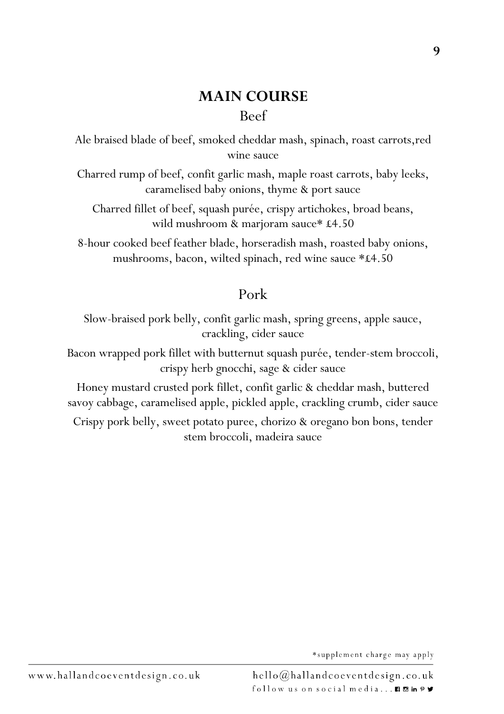**9**

Ale braised blade of beef, smoked cheddar mash, spinach, roast carrots,red wine sauce

Charred rump of beef, confit garlic mash, maple roast carrots, baby leeks, caramelised baby onions, thyme & port sauce

Charred fillet of beef, squash purée, crispy artichokes, broad beans, wild mushroom & marjoram sauce\* £4.50

8-hour cooked beef feather blade, horseradish mash, roasted baby onions, mushrooms, bacon, wilted spinach, red wine sauce \*£4.50

#### Pork

Slow-braised pork belly, confit garlic mash, spring greens, apple sauce, crackling, cider sauce

Bacon wrapped pork fillet with butternut squash purée, tender-stem broccoli, crispy herb gnocchi, sage & cider sauce

Honey mustard crusted pork fillet, confit garlic & cheddar mash, buttered savoy cabbage, caramelised apple, pickled apple, crackling crumb, cider sauce

Crispy pork belly, sweet potato puree, chorizo & oregano bon bons, tender stem broccoli, madeira sauce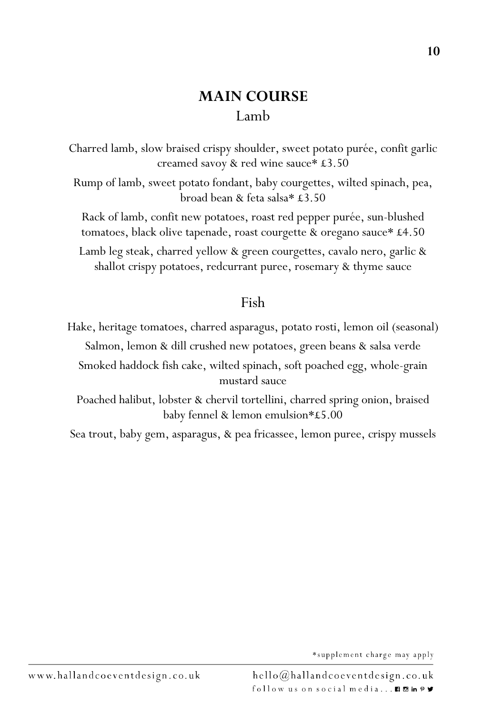# **MAIN COURSE** Lamb

Charred lamb, slow braised crispy shoulder, sweet potato purée, confit garlic creamed savoy & red wine sauce\* £3.50

Rump of lamb, sweet potato fondant, baby courgettes, wilted spinach, pea, broad bean & feta salsa\* £3.50

Rack of lamb, confit new potatoes, roast red pepper purée, sun-blushed tomatoes, black olive tapenade, roast courgette & oregano sauce\* £4.50

Lamb leg steak, charred yellow & green courgettes, cavalo nero, garlic & shallot crispy potatoes, redcurrant puree, rosemary & thyme sauce

#### Fish

Hake, heritage tomatoes, charred asparagus, potato rosti, lemon oil (seasonal) Salmon, lemon & dill crushed new potatoes, green beans & salsa verde Smoked haddock fish cake, wilted spinach, soft poached egg, whole-grain mustard sauce

Poached halibut, lobster & chervil tortellini, charred spring onion, braised baby fennel & lemon emulsion\*£5.00

Sea trout, baby gem, asparagus, & pea fricassee, lemon puree, crispy mussels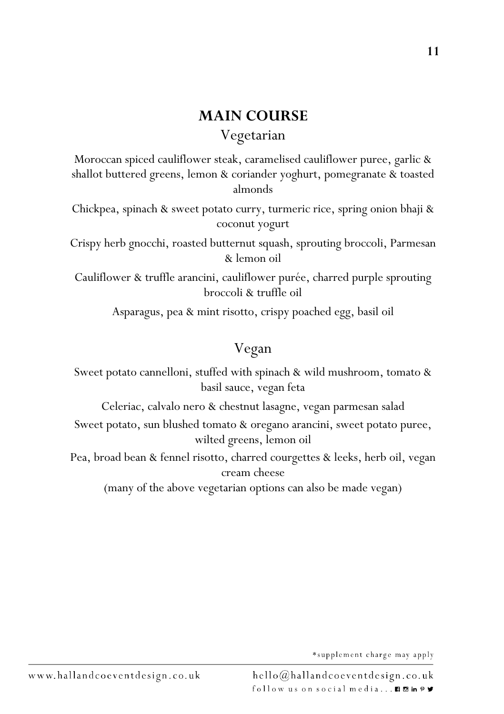#### **MAIN COURSE**

#### Vegetarian

Moroccan spiced cauliflower steak, caramelised cauliflower puree, garlic & shallot buttered greens, lemon & coriander yoghurt, pomegranate & toasted almonds

Chickpea, spinach & sweet potato curry, turmeric rice, spring onion bhaji & coconut yogurt

Crispy herb gnocchi, roasted butternut squash, sprouting broccoli, Parmesan & lemon oil

Cauliflower & truffle arancini, cauliflower purée, charred purple sprouting broccoli & truffle oil

Asparagus, pea & mint risotto, crispy poached egg, basil oil

# Vegan

Sweet potato cannelloni, stuffed with spinach & wild mushroom, tomato & basil sauce, vegan feta

Celeriac, calvalo nero & chestnut lasagne, vegan parmesan salad

Sweet potato, sun blushed tomato & oregano arancini, sweet potato puree, wilted greens, lemon oil

Pea, broad bean & fennel risotto, charred courgettes & leeks, herb oil, vegan cream cheese

(many of the above vegetarian options can also be made vegan)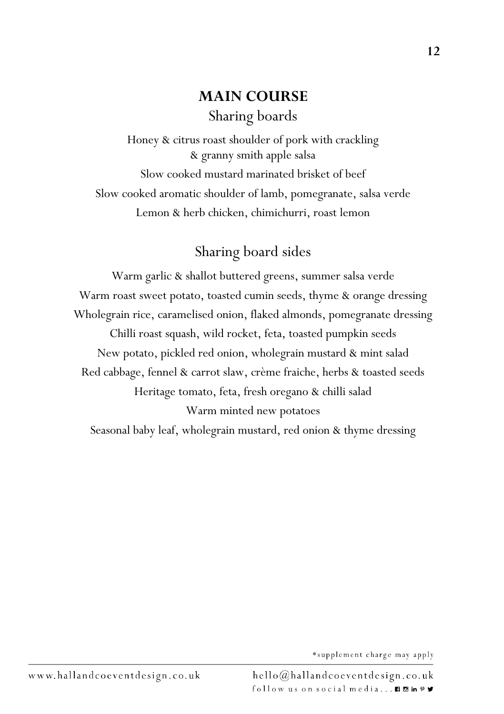# **MAIN COURSE** Sharing boards

Honey & citrus roast shoulder of pork with crackling & granny smith apple salsa Slow cooked mustard marinated brisket of beef Slow cooked aromatic shoulder of lamb, pomegranate, salsa verde Lemon & herb chicken, chimichurri, roast lemon

# Sharing board sides

Warm garlic & shallot buttered greens, summer salsa verde Warm roast sweet potato, toasted cumin seeds, thyme & orange dressing Wholegrain rice, caramelised onion, flaked almonds, pomegranate dressing Chilli roast squash, wild rocket, feta, toasted pumpkin seeds New potato, pickled red onion, wholegrain mustard & mint salad Red cabbage, fennel & carrot slaw, crème fraiche, herbs & toasted seeds Heritage tomato, feta, fresh oregano & chilli salad Warm minted new potatoes Seasonal baby leaf, wholegrain mustard, red onion & thyme dressing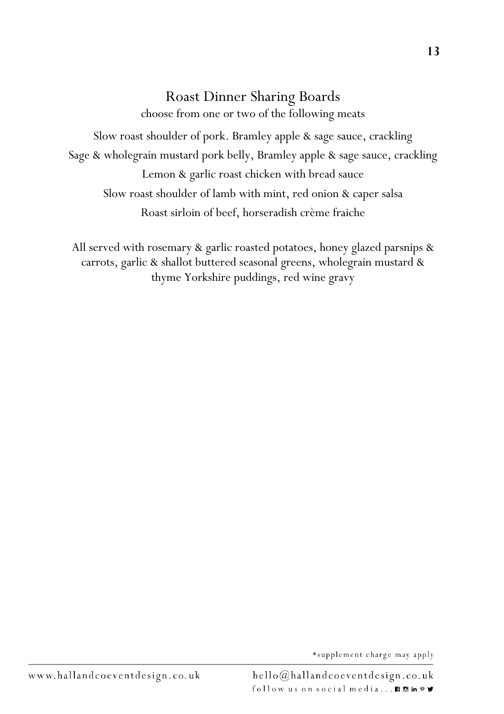### Roast Dinner Sharing Boards

choose from one or two of the following meats Slow roast shoulder of pork. Bramley apple & sage sauce, crackling Sage & wholegrain mustard pork belly, Bramley apple & sage sauce, crackling Lemon & garlic roast chicken with bread sauce

Slow roast shoulder of lamb with mint, red onion & caper salsa Roast sirloin of beef, horseradish crème fraiche

All served with rosemary & garlic roasted potatoes, honey glazed parsnips & carrots, garlic & shallot buttered seasonal greens, wholegrain mustard & thyme Yorkshire puddings, red wine gravy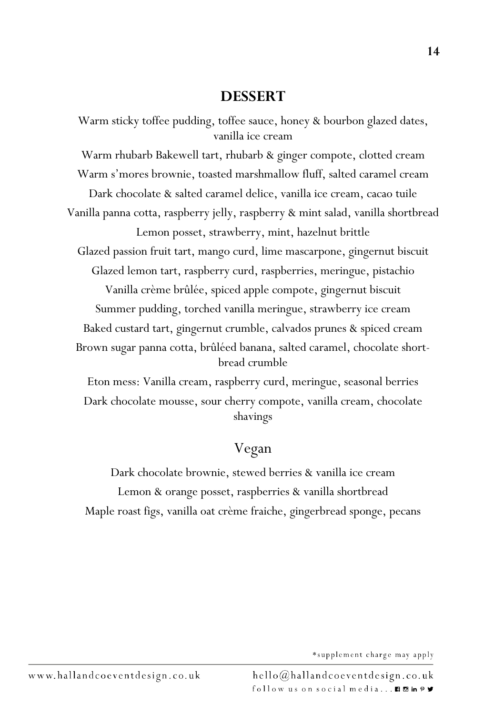#### **DESSERT**

Warm sticky toffee pudding, toffee sauce, honey & bourbon glazed dates, vanilla ice cream

Warm rhubarb Bakewell tart, rhubarb & ginger compote, clotted cream Warm s'mores brownie, toasted marshmallow fluff, salted caramel cream Dark chocolate & salted caramel delice, vanilla ice cream, cacao tuile Vanilla panna cotta, raspberry jelly, raspberry & mint salad, vanilla shortbread Lemon posset, strawberry, mint, hazelnut brittle Glazed passion fruit tart, mango curd, lime mascarpone, gingernut biscuit Glazed lemon tart, raspberry curd, raspberries, meringue, pistachio Vanilla crème brûlée, spiced apple compote, gingernut biscuit Summer pudding, torched vanilla meringue, strawberry ice cream Baked custard tart, gingernut crumble, calvados prunes & spiced cream

Brown sugar panna cotta, brûléed banana, salted caramel, chocolate shortbread crumble

Eton mess: Vanilla cream, raspberry curd, meringue, seasonal berries Dark chocolate mousse, sour cherry compote, vanilla cream, chocolate shavings

# Vegan

Dark chocolate brownie, stewed berries & vanilla ice cream Lemon & orange posset, raspberries & vanilla shortbread Maple roast figs, vanilla oat crème fraiche, gingerbread sponge, pecans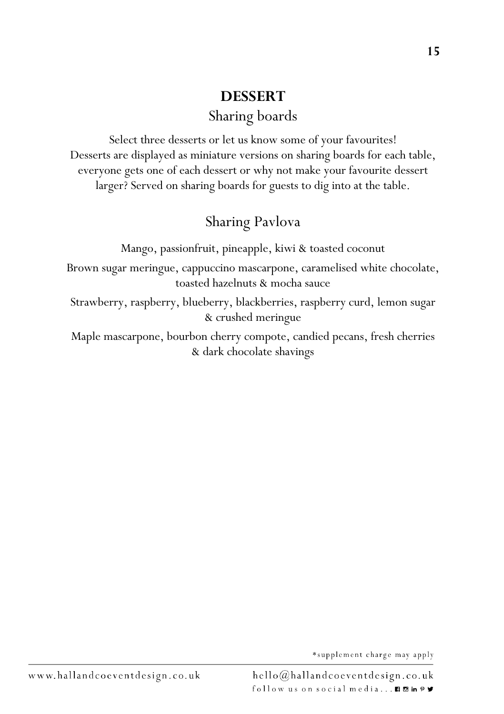# **DESSERT** Sharing boards

Select three desserts or let us know some of your favourites! Desserts are displayed as miniature versions on sharing boards for each table, everyone gets one of each dessert or why not make your favourite dessert larger? Served on sharing boards for guests to dig into at the table.

# Sharing Pavlova

Mango, passionfruit, pineapple, kiwi & toasted coconut

Brown sugar meringue, cappuccino mascarpone, caramelised white chocolate, toasted hazelnuts & mocha sauce

Strawberry, raspberry, blueberry, blackberries, raspberry curd, lemon sugar & crushed meringue

Maple mascarpone, bourbon cherry compote, candied pecans, fresh cherries & dark chocolate shavings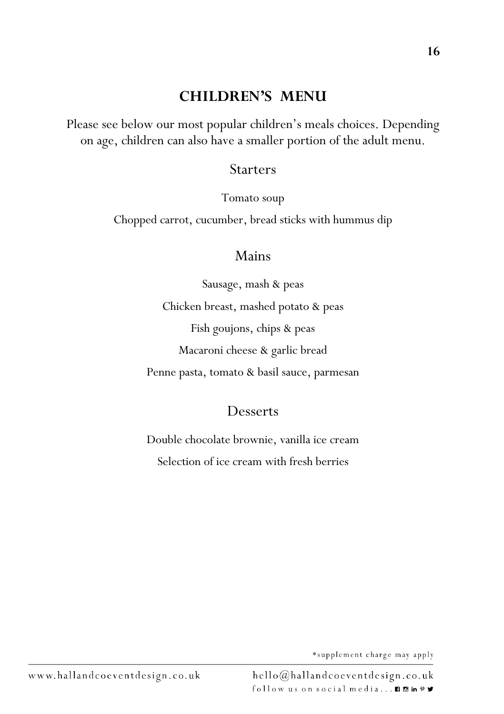#### **CHILDREN'S MENU**

Please see below our most popular children's meals choices. Depending on age, children can also have a smaller portion of the adult menu.

#### **Starters**

Tomato soup

Chopped carrot, cucumber, bread sticks with hummus dip

#### Mains

Sausage, mash & peas Chicken breast, mashed potato & peas Fish goujons, chips & peas Macaroni cheese & garlic bread Penne pasta, tomato & basil sauce, parmesan

#### Desserts

Double chocolate brownie, vanilla ice cream Selection of ice cream with fresh berries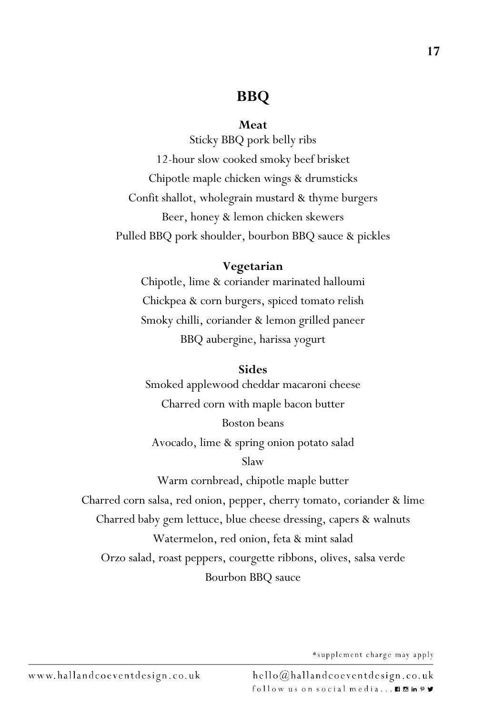#### **BBQ**

#### **Meat**

Sticky BBQ pork belly ribs 12-hour slow cooked smoky beef brisket Chipotle maple chicken wings & drumsticks Confit shallot, wholegrain mustard & thyme burgers Beer, honey & lemon chicken skewers Pulled BBQ pork shoulder, bourbon BBQ sauce & pickles

#### **Vegetarian**

Chipotle, lime & coriander marinated halloumi Chickpea & corn burgers, spiced tomato relish Smoky chilli, coriander & lemon grilled paneer BBQ aubergine, harissa yogurt

#### **Sides**

Smoked applewood cheddar macaroni cheese Charred corn with maple bacon butter Boston beans Avocado, lime & spring onion potato salad Slaw Warm cornbread, chipotle maple butter Charred corn salsa, red onion, pepper, cherry tomato, coriander & lime Charred baby gem lettuce, blue cheese dressing, capers & walnuts Watermelon, red onion, feta & mint salad Orzo salad, roast peppers, courgette ribbons, olives, salsa verde Bourbon BBQ sauce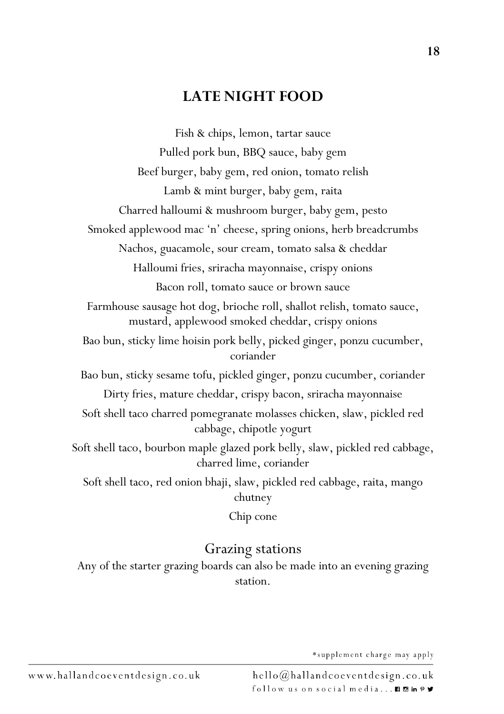#### **LATE NIGHT FOOD**

Fish & chips, lemon, tartar sauce Pulled pork bun, BBQ sauce, baby gem Beef burger, baby gem, red onion, tomato relish Lamb & mint burger, baby gem, raita Charred halloumi & mushroom burger, baby gem, pesto Smoked applewood mac 'n' cheese, spring onions, herb breadcrumbs Nachos, guacamole, sour cream, tomato salsa & cheddar Halloumi fries, sriracha mayonnaise, crispy onions Bacon roll, tomato sauce or brown sauce Farmhouse sausage hot dog, brioche roll, shallot relish, tomato sauce, mustard, applewood smoked cheddar, crispy onions Bao bun, sticky lime hoisin pork belly, picked ginger, ponzu cucumber, coriander Bao bun, sticky sesame tofu, pickled ginger, ponzu cucumber, coriander Dirty fries, mature cheddar, crispy bacon, sriracha mayonnaise Soft shell taco charred pomegranate molasses chicken, slaw, pickled red cabbage, chipotle yogurt Soft shell taco, bourbon maple glazed pork belly, slaw, pickled red cabbage, charred lime, coriander Soft shell taco, red onion bhaji, slaw, pickled red cabbage, raita, mango chutney Chip cone

#### Grazing stations

Any of the starter grazing boards can also be made into an evening grazing station.